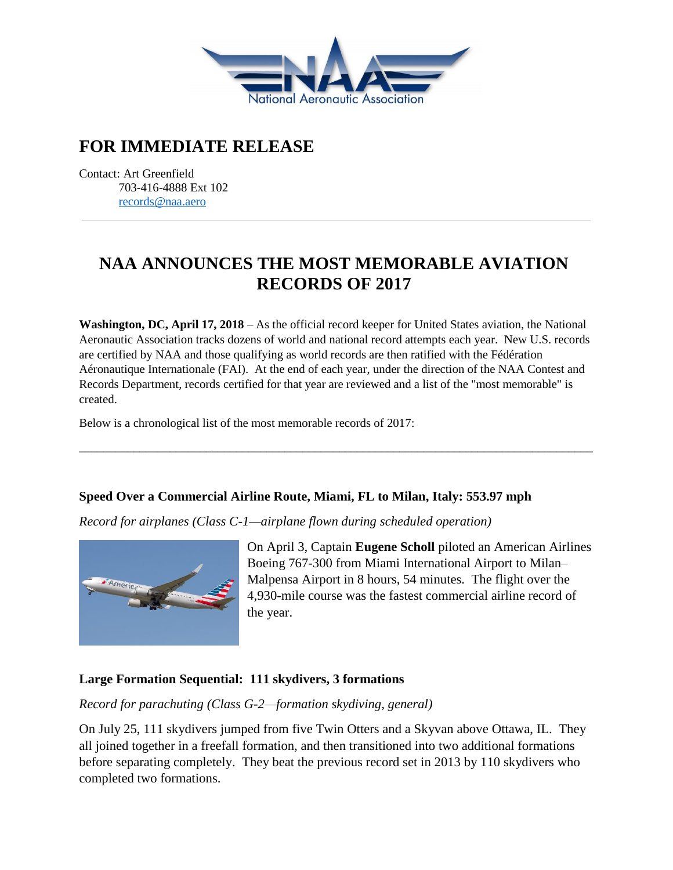

# **FOR IMMEDIATE RELEASE**

Contact: Art Greenfield 703-416-4888 Ext 102 [records@naa.aero](mailto:records@naa.aero)

# **NAA ANNOUNCES THE MOST MEMORABLE AVIATION RECORDS OF 2017**

**Washington, DC, April 17, 2018** – As the official record keeper for United States aviation, the National Aeronautic Association tracks dozens of world and national record attempts each year. New U.S. records are certified by NAA and those qualifying as world records are then ratified with the Fédération Aéronautique Internationale (FAI). At the end of each year, under the direction of the NAA Contest and Records Department, records certified for that year are reviewed and a list of the "most memorable" is created.

\_\_\_\_\_\_\_\_\_\_\_\_\_\_\_\_\_\_\_\_\_\_\_\_\_\_\_\_\_\_\_\_\_\_\_\_\_\_\_\_\_\_\_\_\_\_\_\_\_\_\_\_\_\_\_\_\_\_\_\_\_\_\_\_\_\_\_\_\_\_\_\_\_\_\_\_\_\_\_\_\_\_\_\_\_

Below is a chronological list of the most memorable records of 2017:

#### **Speed Over a Commercial Airline Route, Miami, FL to Milan, Italy: 553.97 mph**

*Record for airplanes (Class C-1—airplane flown during scheduled operation)*



On April 3, Captain **Eugene Scholl** piloted an American Airlines Boeing 767-300 from Miami International Airport to Milan– Malpensa Airport in 8 hours, 54 minutes. The flight over the 4,930-mile course was the fastest commercial airline record of the year.

#### **Large Formation Sequential: 111 skydivers, 3 formations**

*Record for parachuting (Class G-2—formation skydiving, general)*

On July 25, 111 skydivers jumped from five Twin Otters and a Skyvan above Ottawa, IL. They all joined together in a freefall formation, and then transitioned into two additional formations before separating completely. They beat the previous record set in 2013 by 110 skydivers who completed two formations.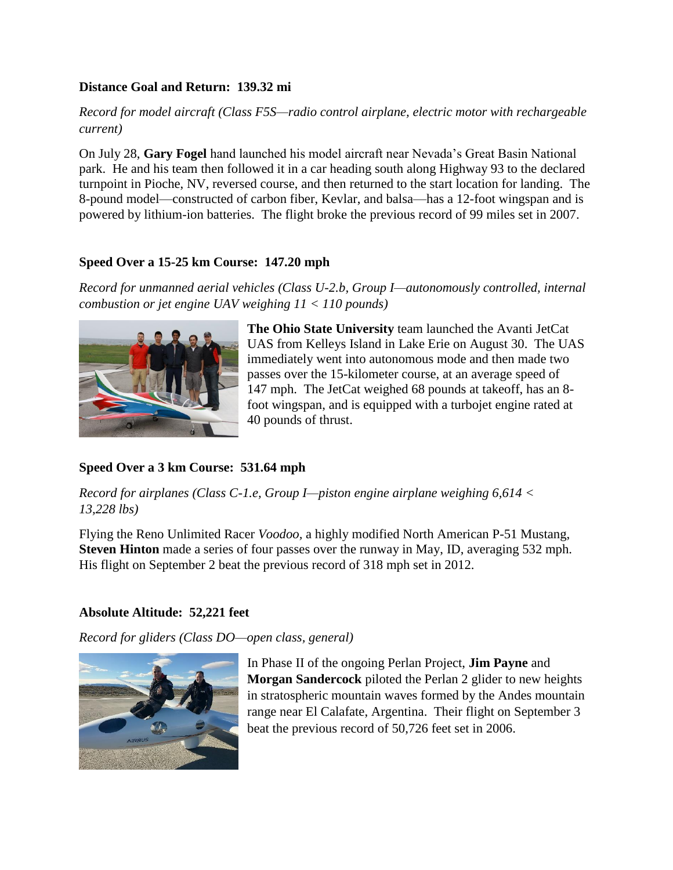#### **Distance Goal and Return: 139.32 mi**

#### *Record for model aircraft (Class F5S—radio control airplane, electric motor with rechargeable current)*

On July 28, **Gary Fogel** hand launched his model aircraft near Nevada's Great Basin National park. He and his team then followed it in a car heading south along Highway 93 to the declared turnpoint in Pioche, NV, reversed course, and then returned to the start location for landing. The 8-pound model—constructed of carbon fiber, Kevlar, and balsa—has a 12-foot wingspan and is powered by lithium-ion batteries. The flight broke the previous record of 99 miles set in 2007.

#### **Speed Over a 15-25 km Course: 147.20 mph**

*Record for unmanned aerial vehicles (Class U-2.b, Group I—autonomously controlled, internal combustion or jet engine UAV weighing 11 < 110 pounds)*



**The Ohio State University** team launched the Avanti JetCat UAS from Kelleys Island in Lake Erie on August 30. The UAS immediately went into autonomous mode and then made two passes over the 15-kilometer course, at an average speed of 147 mph. The JetCat weighed 68 pounds at takeoff, has an 8 foot wingspan, and is equipped with a turbojet engine rated at 40 pounds of thrust.

## **Speed Over a 3 km Course: 531.64 mph**

*Record for airplanes (Class C-1.e, Group I—piston engine airplane weighing 6,614 < 13,228 lbs)*

Flying the Reno Unlimited Racer *Voodoo,* a highly modified North American P-51 Mustang, **Steven Hinton** made a series of four passes over the runway in May, ID, averaging 532 mph. His flight on September 2 beat the previous record of 318 mph set in 2012.

## **Absolute Altitude: 52,221 feet**

*Record for gliders (Class DO—open class, general)*



In Phase II of the ongoing Perlan Project, **Jim Payne** and **Morgan Sandercock** piloted the Perlan 2 glider to new heights in stratospheric mountain waves formed by the Andes mountain range near El Calafate, Argentina. Their flight on September 3 beat the previous record of 50,726 feet set in 2006.